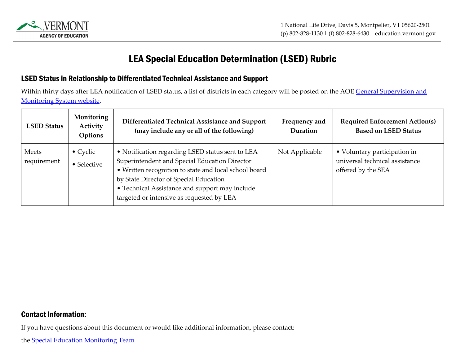

## LEA Special Education Determination (LSED) Rubric

## LSED Status in Relationship to Differentiated Technical Assistance and Support

Within thirty days after LEA notification of LSED status, a list of districts in each category will be posted on the AOE General Supervision and [Monitoring System website.](https://education.vermont.gov/student-support/vermont-special-education/general-supervision-and-monitoring-system)

| <b>LSED Status</b>   | Monitoring<br>Activity<br>Options | Differentiated Technical Assistance and Support<br>(may include any or all of the following)                                                                                                                                                                                                        | Frequency and<br>Duration | <b>Required Enforcement Action(s)</b><br><b>Based on LSED Status</b>                 |
|----------------------|-----------------------------------|-----------------------------------------------------------------------------------------------------------------------------------------------------------------------------------------------------------------------------------------------------------------------------------------------------|---------------------------|--------------------------------------------------------------------------------------|
| Meets<br>requirement | $\bullet$ Cyclic<br>• Selective   | • Notification regarding LSED status sent to LEA<br>Superintendent and Special Education Director<br>• Written recognition to state and local school board<br>by State Director of Special Education<br>• Technical Assistance and support may include<br>targeted or intensive as requested by LEA | Not Applicable            | • Voluntary participation in<br>universal technical assistance<br>offered by the SEA |

## Contact Information:

If you have questions about this document or would like additional information, please contact: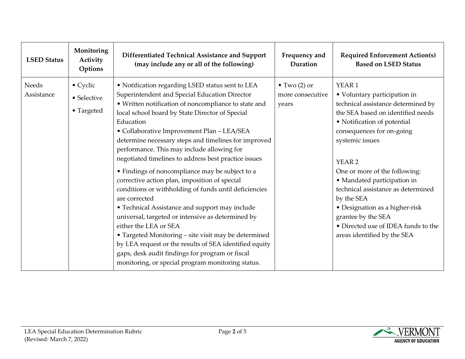| <b>LSED Status</b>  | Monitoring<br>Activity<br>Options             | Differentiated Technical Assistance and Support<br>(may include any or all of the following)                                                                                                                                                                                                                                                                                                                                                                                                                                                                                                                                                                                                                                                                                                                                                                                                                                                                                  | Frequency and<br>Duration                         | <b>Required Enforcement Action(s)</b><br><b>Based on LSED Status</b>                                                                                                                                                                                                                                                                                                                                                                                                    |
|---------------------|-----------------------------------------------|-------------------------------------------------------------------------------------------------------------------------------------------------------------------------------------------------------------------------------------------------------------------------------------------------------------------------------------------------------------------------------------------------------------------------------------------------------------------------------------------------------------------------------------------------------------------------------------------------------------------------------------------------------------------------------------------------------------------------------------------------------------------------------------------------------------------------------------------------------------------------------------------------------------------------------------------------------------------------------|---------------------------------------------------|-------------------------------------------------------------------------------------------------------------------------------------------------------------------------------------------------------------------------------------------------------------------------------------------------------------------------------------------------------------------------------------------------------------------------------------------------------------------------|
| Needs<br>Assistance | • Cyclic<br>$\bullet$ Selective<br>• Targeted | • Notification regarding LSED status sent to LEA<br>Superintendent and Special Education Director<br>• Written notification of noncompliance to state and<br>local school board by State Director of Special<br>Education<br>• Collaborative Improvement Plan - LEA/SEA<br>determine necessary steps and timelines for improved<br>performance. This may include allowing for<br>negotiated timelines to address best practice issues<br>• Findings of noncompliance may be subject to a<br>corrective action plan, imposition of special<br>conditions or withholding of funds until deficiencies<br>are corrected<br>• Technical Assistance and support may include<br>universal, targeted or intensive as determined by<br>either the LEA or SEA<br>• Targeted Monitoring - site visit may be determined<br>by LEA request or the results of SEA identified equity<br>gaps, desk audit findings for program or fiscal<br>monitoring, or special program monitoring status. | $\bullet$ Two (2) or<br>more consecutive<br>years | YEAR 1<br>• Voluntary participation in<br>technical assistance determined by<br>the SEA based on identified needs<br>• Notification of potential<br>consequences for on-going<br>systemic issues<br>YEAR <sub>2</sub><br>One or more of the following:<br>· Mandated participation in<br>technical assistance as determined<br>by the SEA<br>• Designation as a higher-risk<br>grantee by the SEA<br>• Directed use of IDEA funds to the<br>areas identified by the SEA |

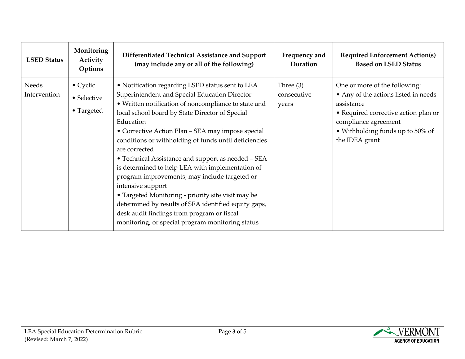| <b>LSED Status</b>           | Monitoring<br>Activity<br>Options             | Differentiated Technical Assistance and Support<br>(may include any or all of the following)                                                                                                                                                                                                                                                                                                                                                                                                                                                                                                                                                                                                                                                             | Frequency and<br>Duration           | <b>Required Enforcement Action(s)</b><br><b>Based on LSED Status</b>                                                                                                                                      |
|------------------------------|-----------------------------------------------|----------------------------------------------------------------------------------------------------------------------------------------------------------------------------------------------------------------------------------------------------------------------------------------------------------------------------------------------------------------------------------------------------------------------------------------------------------------------------------------------------------------------------------------------------------------------------------------------------------------------------------------------------------------------------------------------------------------------------------------------------------|-------------------------------------|-----------------------------------------------------------------------------------------------------------------------------------------------------------------------------------------------------------|
| <b>Needs</b><br>Intervention | $\bullet$ Cyclic<br>• Selective<br>• Targeted | • Notification regarding LSED status sent to LEA<br>Superintendent and Special Education Director<br>• Written notification of noncompliance to state and<br>local school board by State Director of Special<br>Education<br>• Corrective Action Plan – SEA may impose special<br>conditions or withholding of funds until deficiencies<br>are corrected<br>• Technical Assistance and support as needed - SEA<br>is determined to help LEA with implementation of<br>program improvements; may include targeted or<br>intensive support<br>• Targeted Monitoring - priority site visit may be<br>determined by results of SEA identified equity gaps,<br>desk audit findings from program or fiscal<br>monitoring, or special program monitoring status | Three $(3)$<br>consecutive<br>years | One or more of the following:<br>• Any of the actions listed in needs<br>assistance<br>• Required corrective action plan or<br>compliance agreement<br>• Withholding funds up to 50% of<br>the IDEA grant |

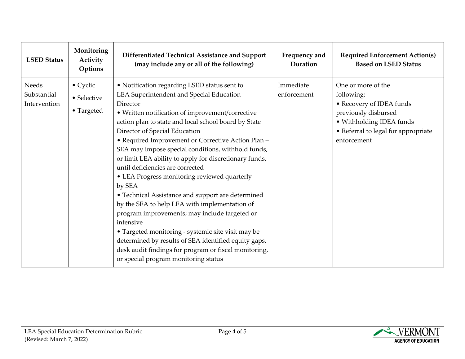| <b>LSED Status</b>                   | Monitoring<br>Activity<br>Options     | Differentiated Technical Assistance and Support<br>(may include any or all of the following)                                                                                                                                                                                                                                                                                                                                                                                                                                                                                                                                                                                                                                                                                                                                                                                                             | Frequency and<br>Duration | <b>Required Enforcement Action(s)</b><br><b>Based on LSED Status</b>                                                                                                   |
|--------------------------------------|---------------------------------------|----------------------------------------------------------------------------------------------------------------------------------------------------------------------------------------------------------------------------------------------------------------------------------------------------------------------------------------------------------------------------------------------------------------------------------------------------------------------------------------------------------------------------------------------------------------------------------------------------------------------------------------------------------------------------------------------------------------------------------------------------------------------------------------------------------------------------------------------------------------------------------------------------------|---------------------------|------------------------------------------------------------------------------------------------------------------------------------------------------------------------|
| Needs<br>Substantial<br>Intervention | • Cyclic<br>• Selective<br>• Targeted | • Notification regarding LSED status sent to<br>LEA Superintendent and Special Education<br>Director<br>• Written notification of improvement/corrective<br>action plan to state and local school board by State<br>Director of Special Education<br>• Required Improvement or Corrective Action Plan -<br>SEA may impose special conditions, withhold funds,<br>or limit LEA ability to apply for discretionary funds,<br>until deficiencies are corrected<br>• LEA Progress monitoring reviewed quarterly<br>by SEA<br>• Technical Assistance and support are determined<br>by the SEA to help LEA with implementation of<br>program improvements; may include targeted or<br>intensive<br>• Targeted monitoring - systemic site visit may be<br>determined by results of SEA identified equity gaps,<br>desk audit findings for program or fiscal monitoring,<br>or special program monitoring status | Immediate<br>enforcement  | One or more of the<br>following:<br>• Recovery of IDEA funds<br>previously disbursed<br>· Withholding IDEA funds<br>• Referral to legal for appropriate<br>enforcement |